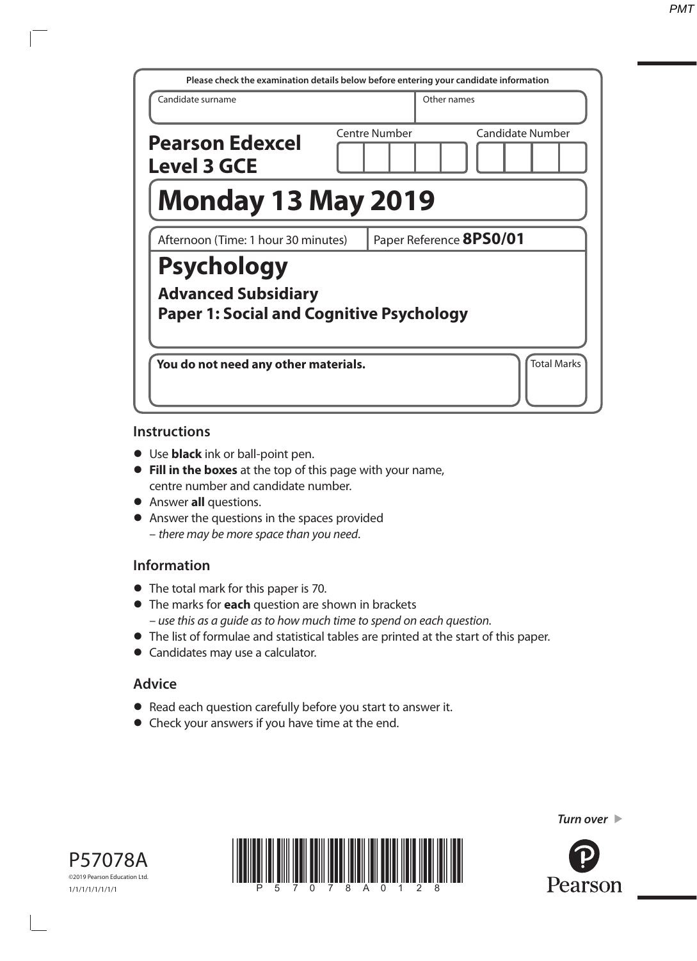| Please check the examination details below before entering your candidate information              |                                   |  |  |  |  |  |  |
|----------------------------------------------------------------------------------------------------|-----------------------------------|--|--|--|--|--|--|
| Candidate surname                                                                                  | Other names                       |  |  |  |  |  |  |
| <b>Pearson Edexcel</b><br><b>Level 3 GCE</b>                                                       | Centre Number<br>Candidate Number |  |  |  |  |  |  |
| <b>Monday 13 May 2019</b>                                                                          |                                   |  |  |  |  |  |  |
| Afternoon (Time: 1 hour 30 minutes)                                                                | Paper Reference 8PS0/01           |  |  |  |  |  |  |
| <b>Psychology</b><br><b>Advanced Subsidiary</b><br><b>Paper 1: Social and Cognitive Psychology</b> |                                   |  |  |  |  |  |  |
| <b>Total Marks</b><br>You do not need any other materials.                                         |                                   |  |  |  |  |  |  |

### **Instructions**

- **•** Use **black** ink or ball-point pen.
- **• Fill in the boxes** at the top of this page with your name, centre number and candidate number.
- **•** Answer **all** questions.
- **•** Answer the questions in the spaces provided – *there may be more space than you need*.

# **Information**

- **•** The total mark for this paper is 70.
- **•** The marks for **each** question are shown in brackets *– use this as a guide as to how much time to spend on each question.*
- **•** The list of formulae and statistical tables are printed at the start of this paper.
- **•** Candidates may use a calculator.

### **Advice**

- **•** Read each question carefully before you start to answer it.
- **•** Check your answers if you have time at the end.





*Turn over* 

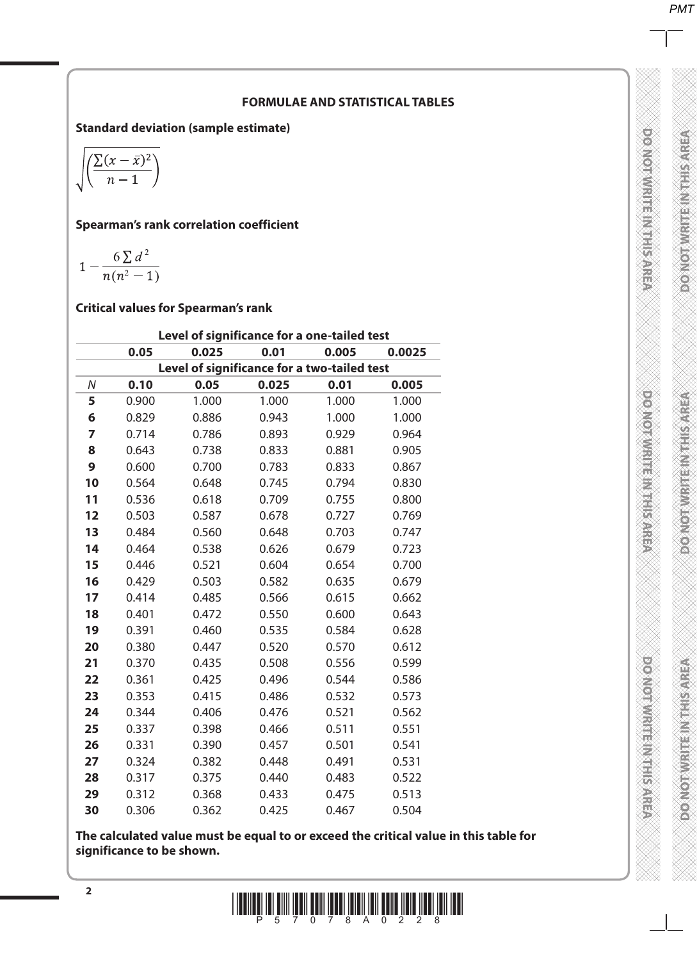**DOMONWRITE MAN ISANCE** 

**Designation** of the control

**DO NOTWART METRICAREA** 

**DO NOT WRITENNITS AREA** 

#### **FORMULAE AND STATISTICAL TABLES**

**Standard deviation (sample estimate)**

$$
\sqrt{\left(\frac{\sum (x-\bar{x})^2}{n-1}\right)^2}
$$

**Spearman's rank correlation coefficient**

$$
1-\frac{6\sum d^2}{n(n^2-1)}
$$

#### **Critical values for Spearman's rank**

|    |       |       | Level of significance for a one-tailed test |       |        |
|----|-------|-------|---------------------------------------------|-------|--------|
|    | 0.05  | 0.025 | 0.01                                        | 0.005 | 0.0025 |
|    |       |       | Level of significance for a two-tailed test |       |        |
| N  | 0.10  | 0.05  | 0.025                                       | 0.01  | 0.005  |
| 5  | 0.900 | 1.000 | 1.000                                       | 1.000 | 1.000  |
| 6  | 0.829 | 0.886 | 0.943                                       | 1.000 | 1.000  |
| 7  | 0.714 | 0.786 | 0.893                                       | 0.929 | 0.964  |
| 8  | 0.643 | 0.738 | 0.833                                       | 0.881 | 0.905  |
| 9  | 0.600 | 0.700 | 0.783                                       | 0.833 | 0.867  |
| 10 | 0.564 | 0.648 | 0.745                                       | 0.794 | 0.830  |
| 11 | 0.536 | 0.618 | 0.709                                       | 0.755 | 0.800  |
| 12 | 0.503 | 0.587 | 0.678                                       | 0.727 | 0.769  |
| 13 | 0.484 | 0.560 | 0.648                                       | 0.703 | 0.747  |
| 14 | 0.464 | 0.538 | 0.626                                       | 0.679 | 0.723  |
| 15 | 0.446 | 0.521 | 0.604                                       | 0.654 | 0.700  |
| 16 | 0.429 | 0.503 | 0.582                                       | 0.635 | 0.679  |
| 17 | 0.414 | 0.485 | 0.566                                       | 0.615 | 0.662  |
| 18 | 0.401 | 0.472 | 0.550                                       | 0.600 | 0.643  |
| 19 | 0.391 | 0.460 | 0.535                                       | 0.584 | 0.628  |
| 20 | 0.380 | 0.447 | 0.520                                       | 0.570 | 0.612  |
| 21 | 0.370 | 0.435 | 0.508                                       | 0.556 | 0.599  |
| 22 | 0.361 | 0.425 | 0.496                                       | 0.544 | 0.586  |
| 23 | 0.353 | 0.415 | 0.486                                       | 0.532 | 0.573  |
| 24 | 0.344 | 0.406 | 0.476                                       | 0.521 | 0.562  |
| 25 | 0.337 | 0.398 | 0.466                                       | 0.511 | 0.551  |
| 26 | 0.331 | 0.390 | 0.457                                       | 0.501 | 0.541  |
| 27 | 0.324 | 0.382 | 0.448                                       | 0.491 | 0.531  |
| 28 | 0.317 | 0.375 | 0.440                                       | 0.483 | 0.522  |
| 29 | 0.312 | 0.368 | 0.433                                       | 0.475 | 0.513  |
| 30 | 0.306 | 0.362 | 0.425                                       | 0.467 | 0.504  |

**The calculated value must be equal to or exceed the critical value in this table for significance to be shown.**

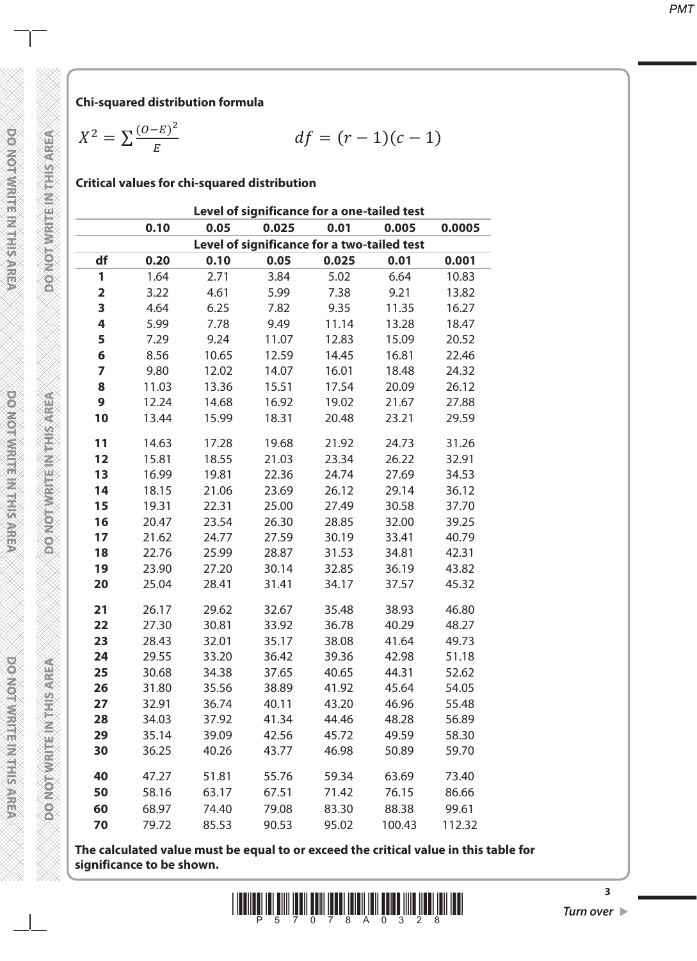**Chi-squared distribution formula Chi-squared distribution formula** 

$$
X^2 = \sum \frac{(0 - E)^2}{E} \qquad df = (r - 1)(c - 1)
$$

**Critical values for chi-squared distribution Critical values for chi-squared distribution**

|                         |       |       |       | Level of significance for a one-tailed test |        |        |
|-------------------------|-------|-------|-------|---------------------------------------------|--------|--------|
|                         | 0.10  | 0.05  | 0.025 | 0.01                                        | 0.005  | 0.0005 |
|                         |       |       |       | Level of significance for a two-tailed test |        |        |
| df                      | 0.20  | 0.10  | 0.05  | 0.025                                       | 0.01   | 0.001  |
| 1                       | 1.64  | 2.71  | 3.84  | 5.02                                        | 6.64   | 10.83  |
| $\overline{\mathbf{2}}$ | 3.22  | 4.61  | 5.99  | 7.38                                        | 9.21   | 13.82  |
| 3                       | 4.64  | 6.25  | 7.82  | 9.35                                        | 11.35  | 16.27  |
| 4                       | 5.99  | 7.78  | 9.49  | 11.14                                       | 13.28  | 18.47  |
| 5                       | 7.29  | 9.24  | 11.07 | 12.83                                       | 15.09  | 20.52  |
| 6                       | 8.56  | 10.65 | 12.59 | 14.45                                       | 16.81  | 22.46  |
| 7                       | 9.80  | 12.02 | 14.07 | 16.01                                       | 18.48  | 24.32  |
| 8                       | 11.03 | 13.36 | 15.51 | 17.54                                       | 20.09  | 26.12  |
| 9                       | 12.24 | 14.68 | 16.92 | 19.02                                       | 21.67  | 27.88  |
| 10                      | 13.44 | 15.99 | 18.31 | 20.48                                       | 23.21  | 29.59  |
| 11                      | 14.63 | 17.28 | 19.68 | 21.92                                       | 24.73  | 31.26  |
| 12                      | 15.81 | 18.55 | 21.03 | 23.34                                       | 26.22  | 32.91  |
| 13                      | 16.99 | 19.81 | 22.36 | 24.74                                       | 27.69  | 34.53  |
| 14                      | 18.15 | 21.06 | 23.69 | 26.12                                       | 29.14  | 36.12  |
| 15                      | 19.31 | 22.31 | 25.00 | 27.49                                       | 30.58  | 37.70  |
| 16                      | 20.47 | 23.54 | 26.30 | 28.85                                       | 32.00  | 39.25  |
| 17                      | 21.62 | 24.77 | 27.59 | 30.19                                       | 33.41  | 40.79  |
| 18                      | 22.76 | 25.99 | 28.87 | 31.53                                       | 34.81  | 42.31  |
| 19                      | 23.90 | 27.20 | 30.14 | 32.85                                       | 36.19  | 43.82  |
| 20                      | 25.04 | 28.41 | 31.41 | 34.17                                       | 37.57  | 45.32  |
| 21                      | 26.17 | 29.62 | 32.67 | 35.48                                       | 38.93  | 46.80  |
| 22                      | 27.30 | 30.81 | 33.92 | 36.78                                       | 40.29  | 48.27  |
| 23                      | 28.43 | 32.01 | 35.17 | 38.08                                       | 41.64  | 49.73  |
| 24                      | 29.55 | 33.20 | 36.42 | 39.36                                       | 42.98  | 51.18  |
| 25                      | 30.68 | 34.38 | 37.65 | 40.65                                       | 44.31  | 52.62  |
| 26                      | 31.80 | 35.56 | 38.89 | 41.92                                       | 45.64  | 54.05  |
| 27                      | 32.91 | 36.74 | 40.11 | 43.20                                       | 46.96  | 55.48  |
| 28                      | 34.03 | 37.92 | 41.34 | 44.46                                       | 48.28  | 56.89  |
| 29                      | 35.14 | 39.09 | 42.56 | 45.72                                       | 49.59  | 58.30  |
| 30                      | 36.25 | 40.26 | 43.77 | 46.98                                       | 50.89  | 59.70  |
| 40                      | 47.27 | 51.81 | 55.76 | 59.34                                       | 63.69  | 73.40  |
| 50                      | 58.16 | 63.17 | 67.51 | 71.42                                       | 76.15  | 86.66  |
| 60                      | 68.97 | 74.40 | 79.08 | 83.30                                       | 88.38  | 99.61  |
| 70                      | 79.72 | 85.53 | 90.53 | 95.02                                       | 100.43 | 112.32 |

**The calculated value must be equal to or exceed the critical value in this table for significance to be shown.**



人名英

**DO NOT WRITE IN THIS** 

**DOMOTOWERENTHESARES** 

**DOMOTIVE ENGINEER**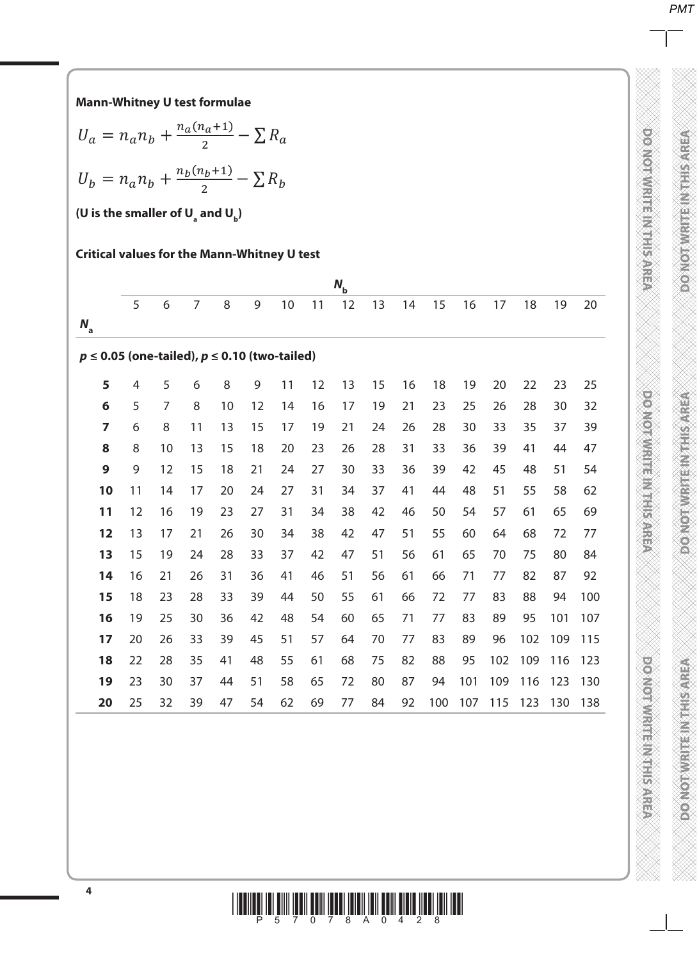| <b>Mann-Whitney U test formulae</b>                          |    |    |                |    |    |    |    |         |    |    |     |     |     |     |         |     |
|--------------------------------------------------------------|----|----|----------------|----|----|----|----|---------|----|----|-----|-----|-----|-----|---------|-----|
| $U_a = n_a n_b + \frac{n_a(n_a+1)}{2} - \sum R_a$            |    |    |                |    |    |    |    |         |    |    |     |     |     |     |         |     |
| $U_b = n_a n_b + \frac{n_b(n_b+1)}{2} - \sum R_b$            |    |    |                |    |    |    |    |         |    |    |     |     |     |     |         |     |
| (U is the smaller of $U$ <sub>a</sub> and $U$ <sub>b</sub> ) |    |    |                |    |    |    |    |         |    |    |     |     |     |     |         |     |
| <b>Critical values for the Mann-Whitney U test</b>           |    |    |                |    |    |    |    |         |    |    |     |     |     |     |         |     |
|                                                              |    |    |                |    |    |    |    | $N_{h}$ |    |    |     |     |     |     |         |     |
| $N_{\rm a}$                                                  | 5  | 6  | $\overline{7}$ | 8  | 9  | 10 | 11 | 12      | 13 | 14 | 15  | 16  | 17  | 18  | 19      | 20  |
| $p \le 0.05$ (one-tailed), $p \le 0.10$ (two-tailed)         |    |    |                |    |    |    |    |         |    |    |     |     |     |     |         |     |
| 5                                                            | 4  | 5  | 6              | 8  | 9  | 11 | 12 | 13      | 15 | 16 | 18  | 19  | 20  | 22  | 23      | 25  |
| 6                                                            | 5  | 7  | 8              | 10 | 12 | 14 | 16 | 17      | 19 | 21 | 23  | 25  | 26  | 28  | 30      | 32  |
| 7                                                            | 6  | 8  | 11             | 13 | 15 | 17 | 19 | 21      | 24 | 26 | 28  | 30  | 33  | 35  | 37      | 39  |
| 8                                                            | 8  | 10 | 13             | 15 | 18 | 20 | 23 | 26      | 28 | 31 | 33  | 36  | 39  | 41  | 44      | 47  |
| 9                                                            | 9  | 12 | 15             | 18 | 21 | 24 | 27 | 30      | 33 | 36 | 39  | 42  | 45  | 48  | 51      | 54  |
| 10                                                           | 11 | 14 | 17             | 20 | 24 | 27 | 31 | 34      | 37 | 41 | 44  | 48  | 51  | 55  | 58      | 62  |
| 11                                                           | 12 | 16 | 19             | 23 | 27 | 31 | 34 | 38      | 42 | 46 | 50  | 54  | 57  | 61  | 65      | 69  |
| 12                                                           | 13 | 17 | 21             | 26 | 30 | 34 | 38 | 42      | 47 | 51 | 55  | 60  | 64  | 68  | 72      | 77  |
| 13                                                           | 15 | 19 | 24             | 28 | 33 | 37 | 42 | 47      | 51 | 56 | 61  | 65  | 70  | 75  | 80      | 84  |
| 14                                                           | 16 | 21 | 26             | 31 | 36 | 41 | 46 | 51      | 56 | 61 | 66  | 71  | 77  | 82  | 87      | 92  |
| 15                                                           | 18 | 23 | 28             | 33 | 39 | 44 | 50 | 55      | 61 | 66 | 72  | 77  | 83  | 88  | 94      | 100 |
| 16                                                           | 19 | 25 | 30             | 36 | 42 | 48 | 54 | 60      | 65 | 71 | 77  | 83  | 89  | 95  | 101     | 107 |
| 17                                                           | 20 | 26 | 33             | 39 | 45 | 51 | 57 | 64      | 70 | 77 | 83  | 89  | 96  | 102 | 109     | 115 |
| 18                                                           | 22 | 28 | 35             | 41 | 48 | 55 | 61 | 68      | 75 | 82 | 88  | 95  | 102 | 109 | 116     | 123 |
| 19                                                           | 23 | 30 | 37             | 44 | 51 | 58 | 65 | 72      | 80 | 87 | 94  | 101 | 109 | 116 | 123     | 130 |
| 20                                                           | 25 | 32 | 39             | 47 | 54 | 62 | 69 | 77      | 84 | 92 | 100 | 107 | 115 |     | 123 130 | 138 |

**DOMOTIVIER INSTRUCTION** 

DO NOT WRITE IN THIS AREA

**DONOTWRITE/NTHISAREA** 

**DOMORWEITENTHIS AREA** 

**DO NOT WRITE IN THIS AREA** 

**DO NOTWERFERMTHS AGEA** 

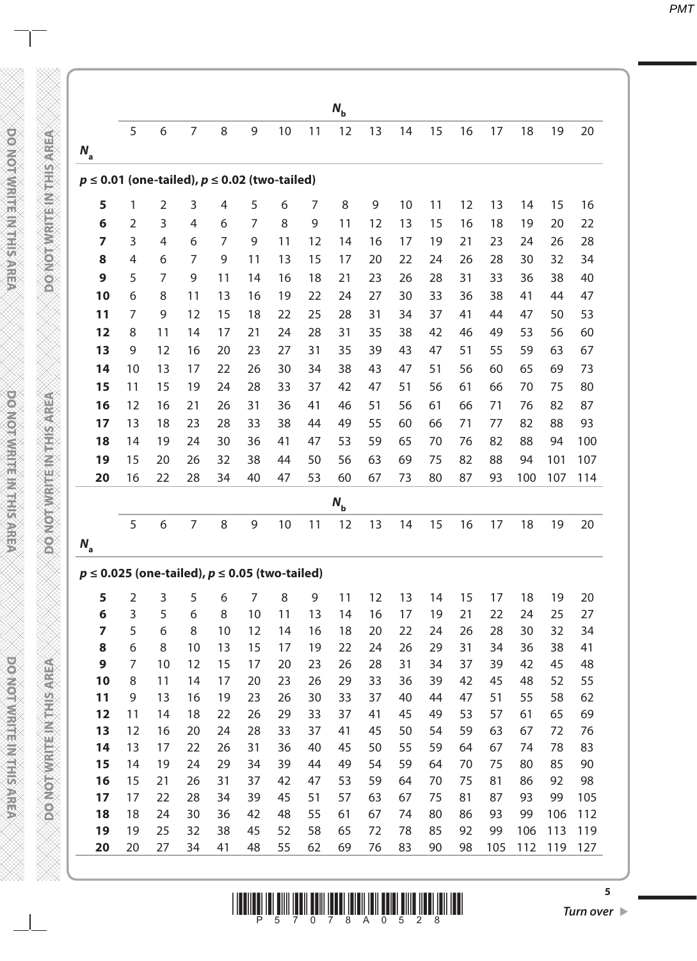|                                                       |                |                |                |                |          |          |          | $N_{\rm b}$ |          |          |          |          |          |          |          |          |
|-------------------------------------------------------|----------------|----------------|----------------|----------------|----------|----------|----------|-------------|----------|----------|----------|----------|----------|----------|----------|----------|
| $N_{\rm a}$                                           | 5              | 6              | $\overline{7}$ | 8              | 9        | 10       | 11       | 12          | 13       | 14       | 15       | 16       | 17       | 18       | 19       | 20       |
| $p \le 0.01$ (one-tailed), $p \le 0.02$ (two-tailed)  |                |                |                |                |          |          |          |             |          |          |          |          |          |          |          |          |
| 5                                                     | 1              | $\overline{2}$ | 3              | $\overline{4}$ | 5        | 6        | 7        | 8           | 9        | 10       | 11       | 12       | 13       | 14       | 15       | 16       |
| 6                                                     | $\overline{2}$ | 3              | $\overline{4}$ | 6              | 7        | 8        | 9        | 11          | 12       | 13       | 15       | 16       | 18       | 19       | 20       | 22       |
| 7                                                     | 3              | $\overline{4}$ | 6              | $\overline{7}$ | 9        | 11       | 12       | 14          | 16       | 17       | 19       | 21       | 23       | 24       | 26       | 28       |
| 8                                                     | 4              | 6              | $\overline{7}$ | 9              | 11       | 13       | 15       | 17          | 20       | 22       | 24       | 26       | 28       | 30       | 32       | 34       |
| 9                                                     | 5              | $\overline{7}$ | 9              | 11             | 14       | 16       | 18       | 21          | 23       | 26       | 28       | 31       | 33       | 36       | 38       | 40       |
| 10                                                    | 6              | 8              | 11             | 13             | 16       | 19       | 22       | 24          | 27       | 30       | 33       | 36       | 38       | 41       | 44       | 47       |
| 11                                                    | 7              | 9              | 12             | 15             | 18       | 22       | 25       | 28          | 31       | 34       | 37       | 41       | 44       | 47       | 50       | 53       |
| 12                                                    | 8              | 11             | 14             | 17             | 21       | 24       | 28       | 31          | 35       | 38       | 42       | 46       | 49       | 53       | 56       | 60       |
| 13                                                    | 9              | 12             | 16             | 20             | 23       | 27       | 31       | 35          | 39       | 43       | 47       | 51       | 55       | 59       | 63       | 67       |
| 14                                                    | 10             | 13             | 17             | 22             | 26       | 30       | 34       | 38          | 43       | 47       | 51       | 56       | 60       | 65       | 69       | 73       |
| 15                                                    | 11             | 15             | 19             | 24             | 28       | 33       | 37       | 42          | 47       | 51       | 56       | 61       | 66       | 70       | 75       | 80       |
| 16                                                    | 12             | 16             | 21             | 26             | 31       | 36       | 41       | 46          | 51       | 56       | 61       | 66       | 71       | 76       | 82       | 87       |
| 17                                                    | 13             | 18             | 23             | 28             | 33       | 38       | 44       | 49          | 55       | 60       | 66       | 71       | 77       | 82       | 88       | 93       |
| 18                                                    | 14             | 19             | 24             | 30             | 36       | 41       | 47       | 53          | 59       | 65       | 70       | 76       | 82       | 88       | 94       | 100      |
| 19                                                    | 15             | 20             | 26             | 32             | 38       | 44       | 50       | 56          | 63       | 69       | 75       | 82       | 88       | 94       | 101      | 107      |
| 20                                                    | 16             | 22             | 28             | 34             | 40       | 47       | 53       | 60          | 67       | 73       | 80       | 87       | 93       | 100      | 107      | 114      |
|                                                       | $N_{\rm b}$    |                |                |                |          |          |          |             |          |          |          |          |          |          |          |          |
|                                                       | 5              | 6              | $\overline{7}$ | 8              | 9        | 10       | 11       | 12          | 13       | 14       | 15       | 16       | 17       | 18       | 19       | 20       |
| $N_{\rm a}$                                           |                |                |                |                |          |          |          |             |          |          |          |          |          |          |          |          |
| $p \le 0.025$ (one-tailed), $p \le 0.05$ (two-tailed) |                |                |                |                |          |          |          |             |          |          |          |          |          |          |          |          |
| 5                                                     | $\overline{2}$ | 3              | 5              | 6              | 7        | 8        | 9        | 11          | 12       | 13       | 14       | 15       | 17       | 18       | 19       | 20       |
| 6                                                     | 3              | 5              | 6              | 8              | 10       | 11       | 13       | 14          | 16       | 17       | 19       | 21       | 22       | 24       | 25       | 27       |
| 7                                                     | 5              | 6              | 8              | 10             | 12       | 14       | 16       | 18          | 20       | 22       | 24       | 26       | 28       | 30       | 32       | 34       |
| 8                                                     | 6              | 8              | 10             | 13             | 15       | 17       | 19       | 22          | 24       | 26       | 29       | 31       | 34       | 36       | 38       | 41       |
| 9                                                     | $\overline{7}$ | 10             | 12             | 15             | 17       | 20       | 23       | 26          | 28       | 31       | 34       | 37       | 39       | 42       | 45       | 48       |
| 10                                                    | 8              | 11             | 14             | 17             | 20       | 23       | 26       | 29          | 33       | 36       | 39       | 42       | 45       | 48       | 52       | 55       |
| 11                                                    | 9              | 13             | 16             | 19             | 23       | 26       | 30       | 33          | 37       | 40       | 44       | 47       | 51       | 55       | 58       | 62       |
| 12                                                    | 11             | 14             | 18             | 22             | 26       | 29       | 33       | 37          | 41       | 45       | 49       | 53       | 57       | 61       | 65       | 69       |
| 13<br>14                                              | 12<br>13       | 16<br>17       | 20<br>22       | 24<br>26       | 28<br>31 | 33<br>36 | 37<br>40 | 41<br>45    | 45<br>50 | 50<br>55 | 54<br>59 | 59<br>64 | 63<br>67 | 67<br>74 | 72<br>78 | 76<br>83 |
| 15                                                    | 14             | 19             | 24             | 29             | 34       | 39       | 44       | 49          | 54       | 59       | 64       | 70       | 75       | 80       | 85       | 90       |
| 16                                                    | 15             | 21             | 26             | 31             | 37       | 42       | 47       | 53          | 59       | 64       | 70       | 75       | 81       | 86       | 92       | 98       |
| 17                                                    | 17             | 22             | 28             | 34             | 39       | 45       | 51       | 57          | 63       | 67       | 75       | 81       | 87       | 93       | 99       | 105      |
| 18                                                    | 18             | 24             | 30             | 36             | 42       | 48       | 55       | 61          | 67       | 74       | 80       | 86       | 93       | 99       | 106      | 112      |
| 19                                                    | 19             | 25             | 32             | 38             | 45       | 52       | 58       | 65          | 72       | 78       | 85       | 92       | 99       | 106      | 113      | 119      |
| 20                                                    | 20             | 27             | 34             | 41             | 48       | 55       | 62       | 69          | 76       | 83       | 90       | 98       | 105      | 112      | 119      | 127      |



**DONOTWRITE IN THIS AREA** 

DO NOT WRITE IN THIS AREA

 $\Box$ 

poworwitherment contex **DONOTWRITEINTHIS AREA** 

power wranten prisoner

**DONOTWRITEINTHISAREA**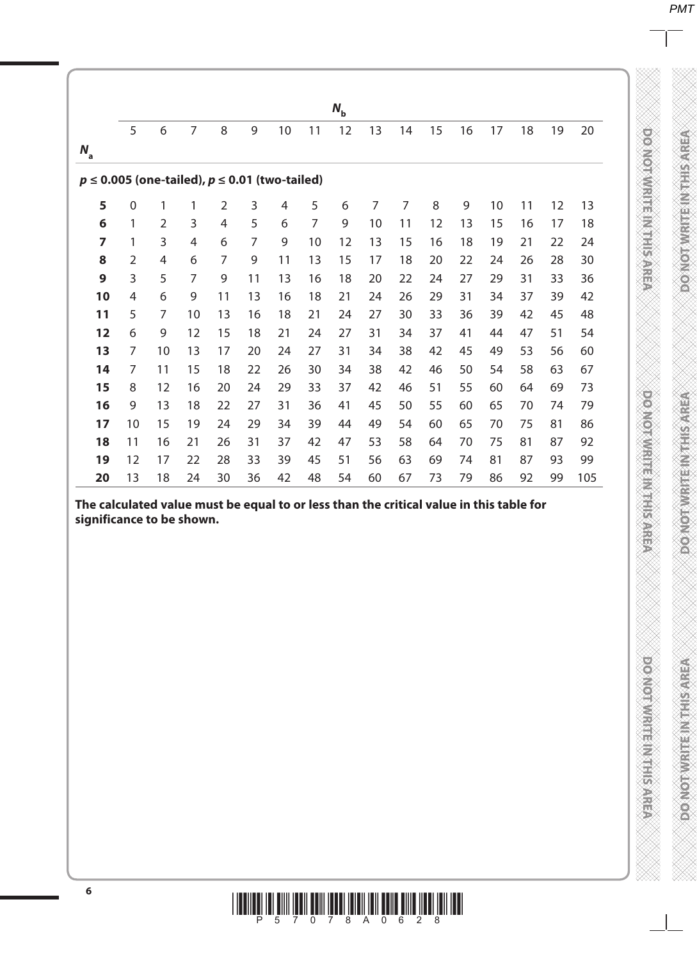DONOTWRITE IN THIS AREA

**Designation of the Science** 

**DOMOTWRITE IN THIS AREA** 

**DO NOT WRITE IN THIS AREA** 

**PONOTVEREINTHSAREA** 

**DO NOT WRITE INTHS AREA** 

|                                                       |                  |                |                |                |                |                |                | $N_{\rm b}$ |                |                |    |    |    |    |    |     |
|-------------------------------------------------------|------------------|----------------|----------------|----------------|----------------|----------------|----------------|-------------|----------------|----------------|----|----|----|----|----|-----|
|                                                       | 5                | 6              | $\overline{7}$ | 8              | 9              | 10             | 11             | 12          | 13             | 14             | 15 | 16 | 17 | 18 | 19 | 20  |
| $N_{\rm a}$                                           |                  |                |                |                |                |                |                |             |                |                |    |    |    |    |    |     |
| $p \le 0.005$ (one-tailed), $p \le 0.01$ (two-tailed) |                  |                |                |                |                |                |                |             |                |                |    |    |    |    |    |     |
| 5                                                     | $\boldsymbol{0}$ | 1              | 1              | $\overline{2}$ | $\mathsf{3}$   | $\overline{4}$ | 5              | 6           | $\overline{7}$ | $\overline{7}$ | 8  | 9  | 10 | 11 | 12 | 13  |
| 6                                                     | 1                | $\overline{2}$ | 3              | 4              | 5              | 6              | $\overline{7}$ | 9           | 10             | 11             | 12 | 13 | 15 | 16 | 17 | 18  |
| 7                                                     | 1                | 3              | $\overline{4}$ | 6              | $\overline{7}$ | 9              | 10             | 12          | 13             | 15             | 16 | 18 | 19 | 21 | 22 | 24  |
| 8                                                     | $\overline{2}$   | 4              | 6              | $\overline{7}$ | 9              | 11             | 13             | 15          | 17             | 18             | 20 | 22 | 24 | 26 | 28 | 30  |
| 9                                                     | $\overline{3}$   | 5              | $\overline{7}$ | 9              | 11             | 13             | 16             | 18          | 20             | 22             | 24 | 27 | 29 | 31 | 33 | 36  |
| 10                                                    | 4                | 6              | 9              | 11             | 13             | 16             | 18             | 21          | 24             | 26             | 29 | 31 | 34 | 37 | 39 | 42  |
| 11                                                    | 5                | 7              | 10             | 13             | 16             | 18             | 21             | 24          | 27             | 30             | 33 | 36 | 39 | 42 | 45 | 48  |
| 12                                                    | 6                | 9              | 12             | 15             | 18             | 21             | 24             | 27          | 31             | 34             | 37 | 41 | 44 | 47 | 51 | 54  |
| 13                                                    | $\overline{7}$   | 10             | 13             | 17             | 20             | 24             | 27             | 31          | 34             | 38             | 42 | 45 | 49 | 53 | 56 | 60  |
| 14                                                    | $\overline{7}$   | 11             | 15             | 18             | 22             | 26             | 30             | 34          | 38             | 42             | 46 | 50 | 54 | 58 | 63 | 67  |
| 15                                                    | 8                | 12             | 16             | 20             | 24             | 29             | 33             | 37          | 42             | 46             | 51 | 55 | 60 | 64 | 69 | 73  |
| 16                                                    | 9                | 13             | 18             | 22             | 27             | 31             | 36             | 41          | 45             | 50             | 55 | 60 | 65 | 70 | 74 | 79  |
| 17                                                    | 10               | 15             | 19             | 24             | 29             | 34             | 39             | 44          | 49             | 54             | 60 | 65 | 70 | 75 | 81 | 86  |
| 18                                                    | 11               | 16             | 21             | 26             | 31             | 37             | 42             | 47          | 53             | 58             | 64 | 70 | 75 | 81 | 87 | 92  |
| 19                                                    | 12               | 17             | 22             | 28             | 33             | 39             | 45             | 51          | 56             | 63             | 69 | 74 | 81 | 87 | 93 | 99  |
| 20                                                    | 13               | 18             | 24             | 30             | 36             | 42             | 48             | 54          | 60             | 67             | 73 | 79 | 86 | 92 | 99 | 105 |

**The calculated value must be equal to or less than the critical value in this table for significance to be shown.**

\*P57078A0628\* **<sup>6</sup>**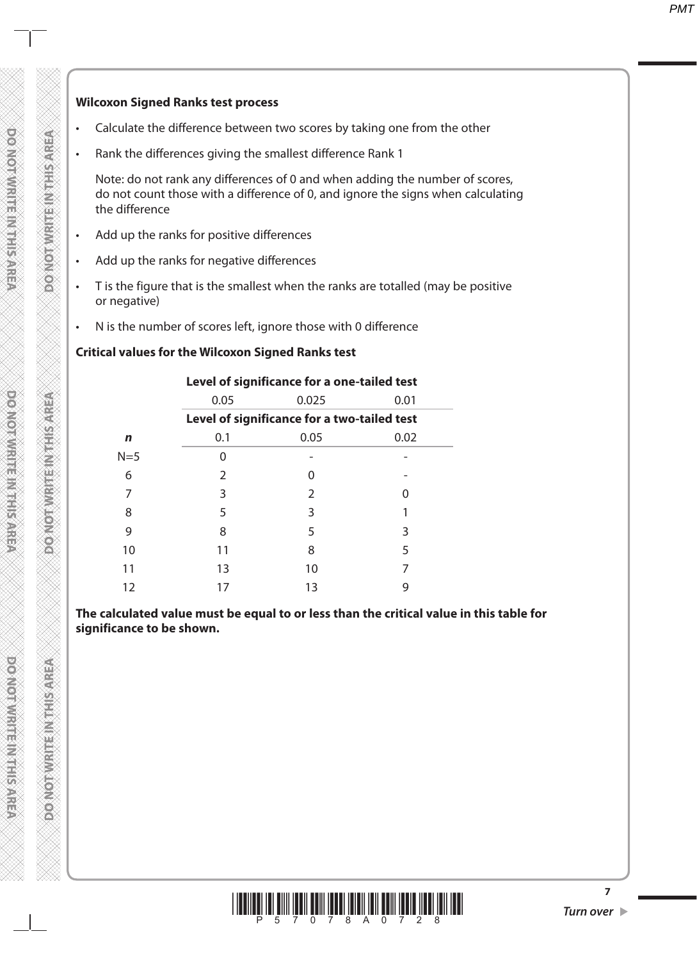# **Wilcoxon Signed Ranks test process**

- Calculate the difference between two scores by taking one from the other
- Rank the differences giving the smallest difference Rank 1

 Note: do not rank any differences of 0 and when adding the number of scores, do not count those with a difference of 0, and ignore the signs when calculating the difference

- Add up the ranks for positive differences
- Add up the ranks for negative differences
- T is the figure that is the smallest when the ranks are totalled (may be positive or negative)
- N is the number of scores left, ignore those with 0 difference

# **Critical values for the Wilcoxon Signed Ranks test**

|       | Level of significance for a one-tailed test |                                             |      |  |  |  |  |  |  |
|-------|---------------------------------------------|---------------------------------------------|------|--|--|--|--|--|--|
|       | 0.05                                        | 0.025                                       | 0.01 |  |  |  |  |  |  |
|       |                                             | Level of significance for a two-tailed test |      |  |  |  |  |  |  |
| n     | 0.1                                         | 0.05                                        | 0.02 |  |  |  |  |  |  |
| $N=5$ | 0                                           |                                             |      |  |  |  |  |  |  |
| 6     | 2                                           |                                             |      |  |  |  |  |  |  |
| 7     | 3                                           | 2                                           |      |  |  |  |  |  |  |
| 8     | 5                                           | 3                                           |      |  |  |  |  |  |  |
| 9     | 8                                           | 5                                           | 3    |  |  |  |  |  |  |
| 10    | 11                                          | 8                                           | 5    |  |  |  |  |  |  |
| 11    | 13                                          | 10                                          |      |  |  |  |  |  |  |
| 12    | 17                                          | 13                                          | g    |  |  |  |  |  |  |

**The calculated value must be equal to or less than the critical value in this table for significance to be shown.**



CENTER<br>CENT

**PONDERWORKER** 

**DONOTWRETH MEET SARE** 

**DOMORATE IN THE SALE**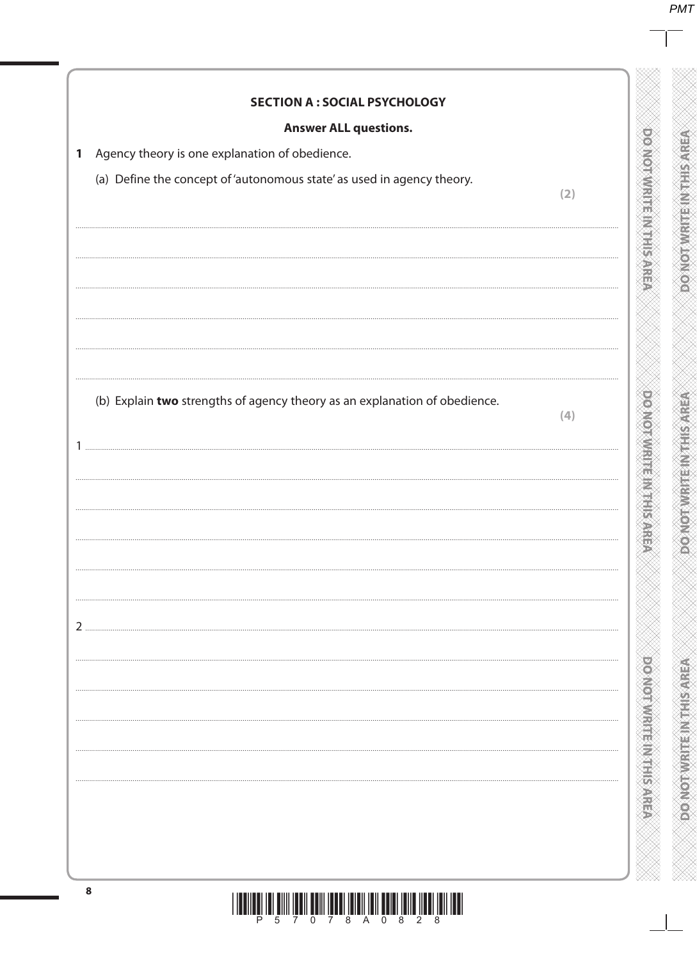| (2) |                              |                                         |
|-----|------------------------------|-----------------------------------------|
|     | S<br>Julio                   | <b>PONICTAMENTE</b>                     |
| (4) |                              |                                         |
|     | S<br><b>STREET BEEFINGER</b> | <b>REPARTMENT CONTROLLED TO A STORY</b> |
|     |                              | <b>SIFERINE</b>                         |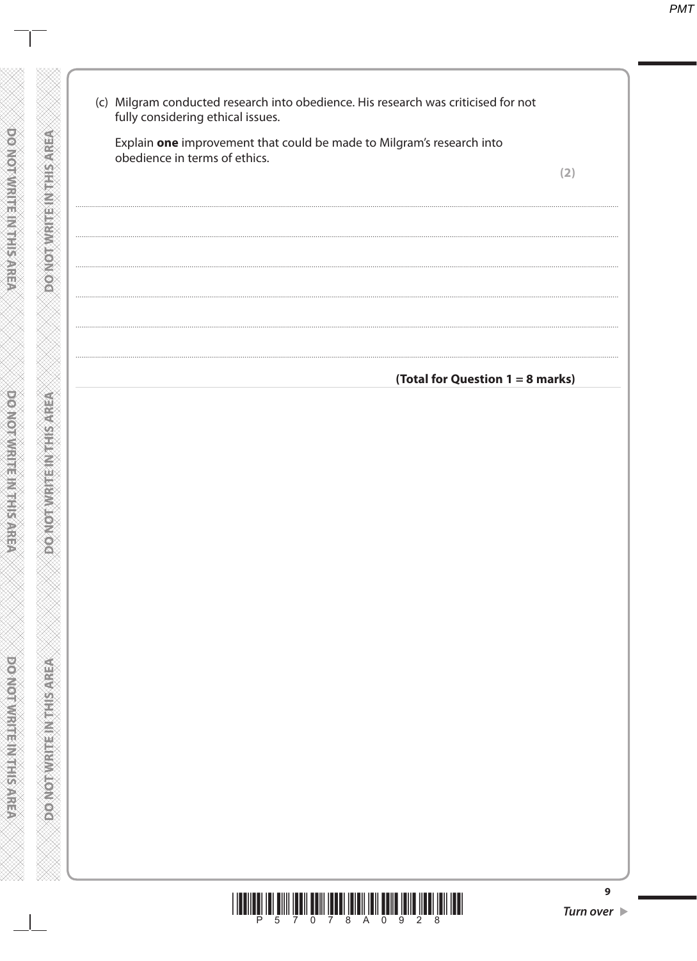|                               | Explain one improvement that could be made to Milgram's research into |                                  |     |
|-------------------------------|-----------------------------------------------------------------------|----------------------------------|-----|
| obedience in terms of ethics. |                                                                       |                                  | (2) |
|                               |                                                                       |                                  |     |
|                               |                                                                       |                                  |     |
|                               |                                                                       |                                  |     |
|                               |                                                                       |                                  |     |
|                               |                                                                       | (Total for Question 1 = 8 marks) |     |
|                               |                                                                       |                                  |     |
|                               |                                                                       |                                  |     |
|                               |                                                                       |                                  |     |
|                               |                                                                       |                                  |     |
|                               |                                                                       |                                  |     |
|                               |                                                                       |                                  |     |
|                               |                                                                       |                                  |     |
|                               |                                                                       |                                  |     |
|                               |                                                                       |                                  |     |
|                               |                                                                       |                                  |     |
|                               |                                                                       |                                  |     |
|                               |                                                                       |                                  |     |

 $\overline{\phantom{a}}$ Ξ

DO NOT WRITE IN THIS AREA

DO NOT WRITE IN THIS AREA

DO NOT WRITE IN THIS AREA

e<br>Ma

 $\Box$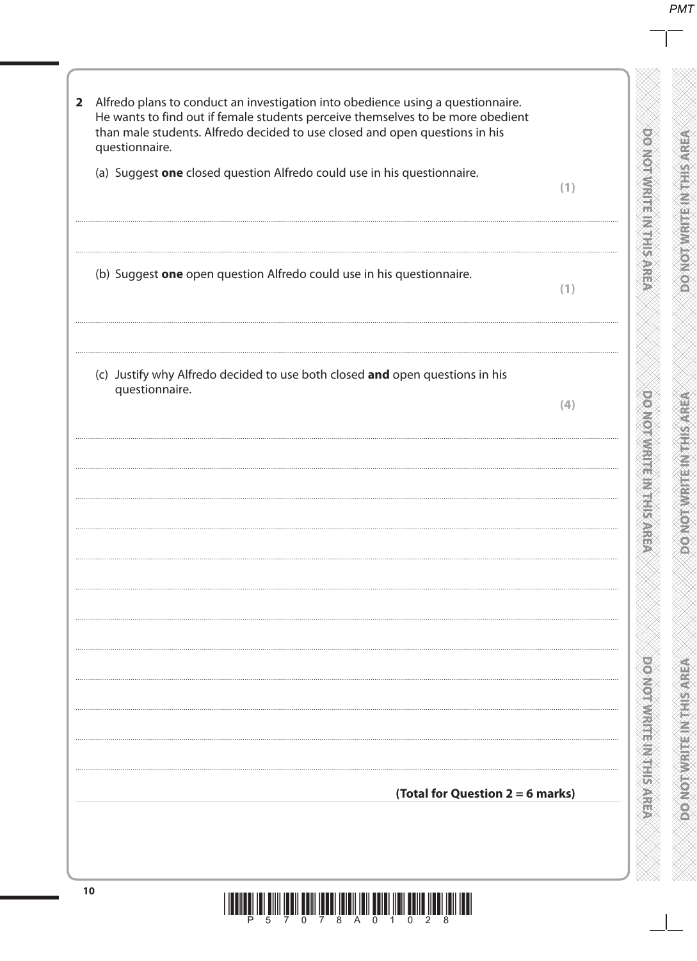| $\overline{2}$ | Alfredo plans to conduct an investigation into obedience using a questionnaire.<br>He wants to find out if female students perceive themselves to be more obedient<br>than male students. Alfredo decided to use closed and open questions in his<br>questionnaire.<br>(a) Suggest one closed question Alfredo could use in his questionnaire. | (1) |                       |  |
|----------------|------------------------------------------------------------------------------------------------------------------------------------------------------------------------------------------------------------------------------------------------------------------------------------------------------------------------------------------------|-----|-----------------------|--|
|                | (b) Suggest one open question Alfredo could use in his questionnaire.                                                                                                                                                                                                                                                                          | (1) |                       |  |
|                | (c) Justify why Alfredo decided to use both closed and open questions in his<br>questionnaire.                                                                                                                                                                                                                                                 | (4) | についます                 |  |
|                | (Total for Question 2 = 6 marks)                                                                                                                                                                                                                                                                                                               |     | <b>POSTER PRODUCT</b> |  |

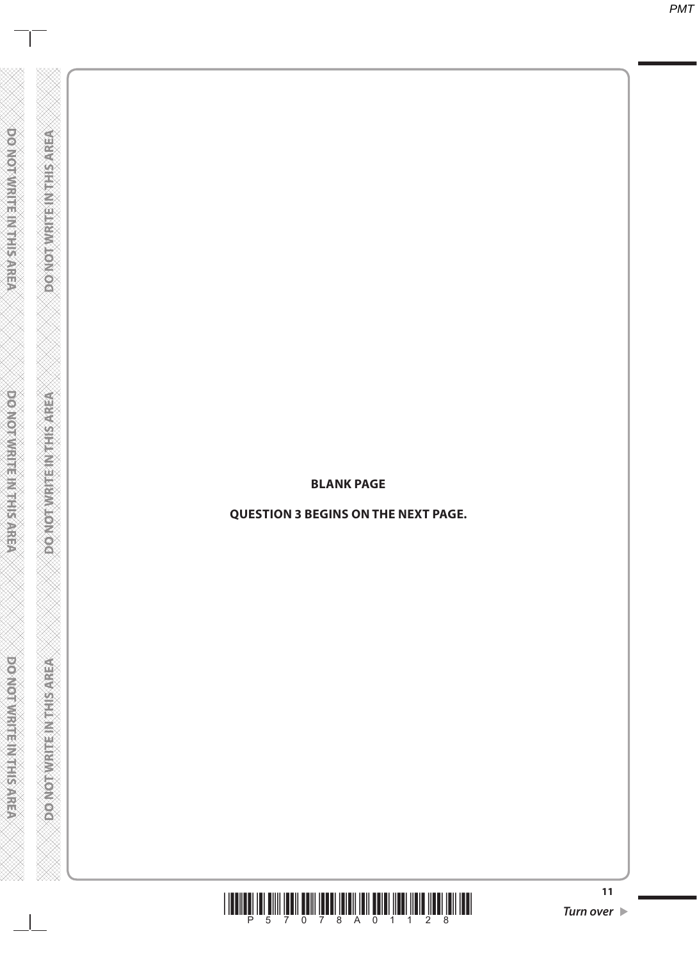**DONOTWRITEINTHISAREA** 

**DONORWRITEINSHISAREA** 

**DO NOT WRITE IN THIS AREA** 

**BLANK PAGE**

**QUESTION 3 BEGINS ON THE NEXT PAGE.**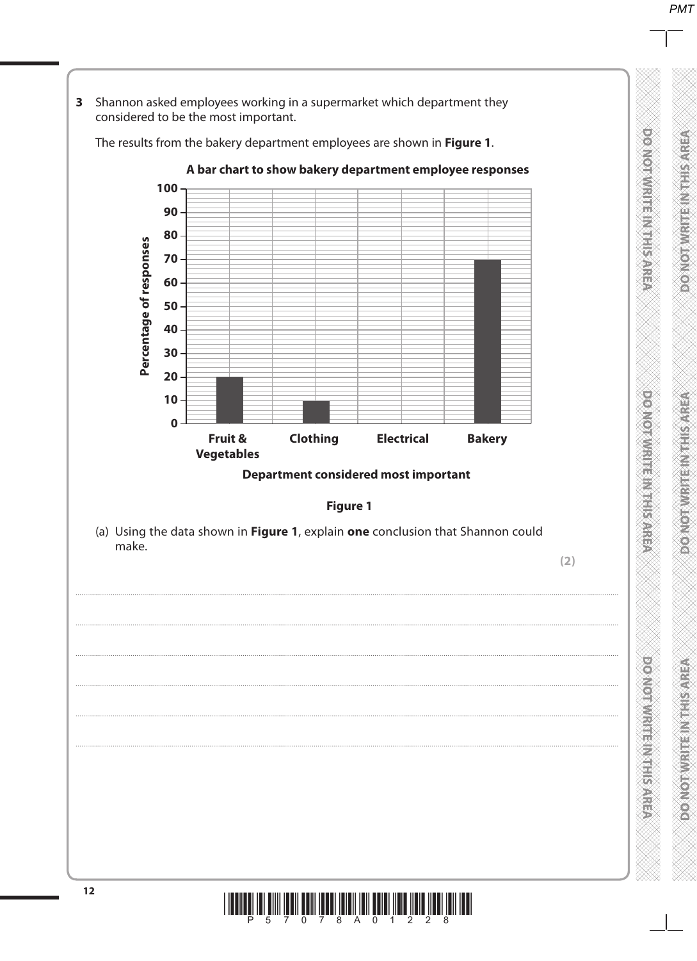3 Shannon asked employees working in a supermarket which department they considered to be the most important. The results from the bakery department employees are shown in Figure 1. **CONONAIGN PROPERTY STATE** A bar chart to show bakery department employee responses  $100 -$ 90 80 Percentage of responses  $70 60 50 -$ 40  $30<sub>1</sub>$ 20 10  $\mathbf 0$ Fruit & **Clothing Electrical Bakery Vegetables Department considered most important Figure 1** 经济的 (a) Using the data shown in Figure 1, explain one conclusion that Shannon could make.  $(2)$ **DO NOTANTE IN TERRISTIS** 

**PMT** 

**RESISTED IN THE PROPERTY OF STRON** 

**PORTOR THE HISTORY** 

**RESING THE METHODS ON STRUCT** 

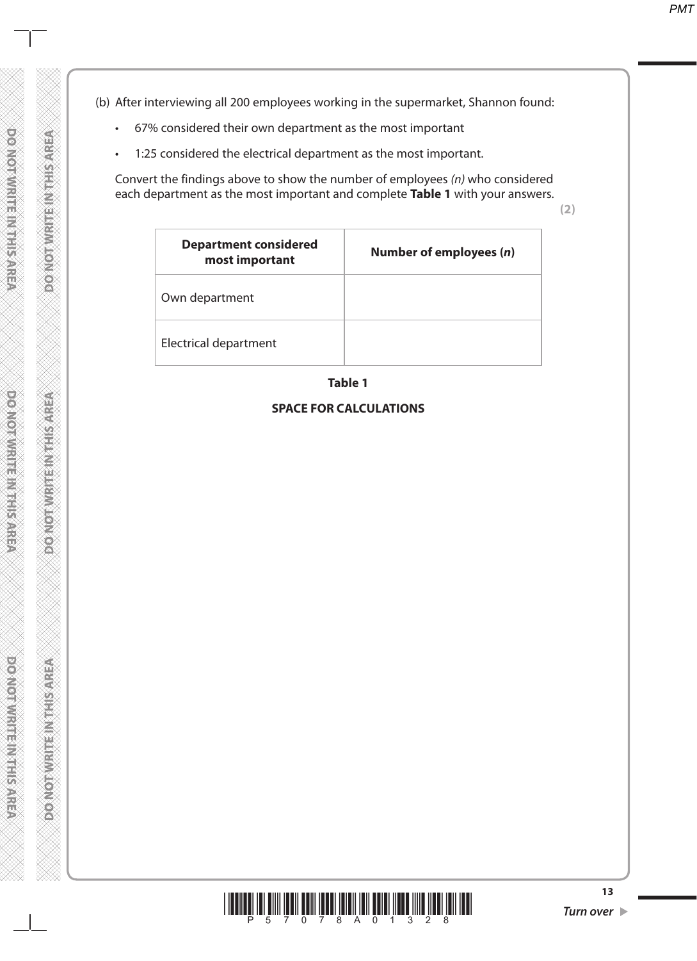(b) After interviewing all 200 employees working in the supermarket, Shannon found:

- 67% considered their own department as the most important
- 1:25 considered the electrical department as the most important.

 Convert the findings above to show the number of employees *(n)* who considered each department as the most important and complete **Table 1** with your answers.

**(2)**

| <b>Department considered</b><br>most important | Number of employees (n) |
|------------------------------------------------|-------------------------|
| Own department                                 |                         |
| Electrical department                          |                         |

**Table 1**

# **SPACE FOR CALCULATIONS**

**BOXICRIMAN HEALS** 

**District Media** 

**DOMORWRITES IN THE SARE** 

**CONCO**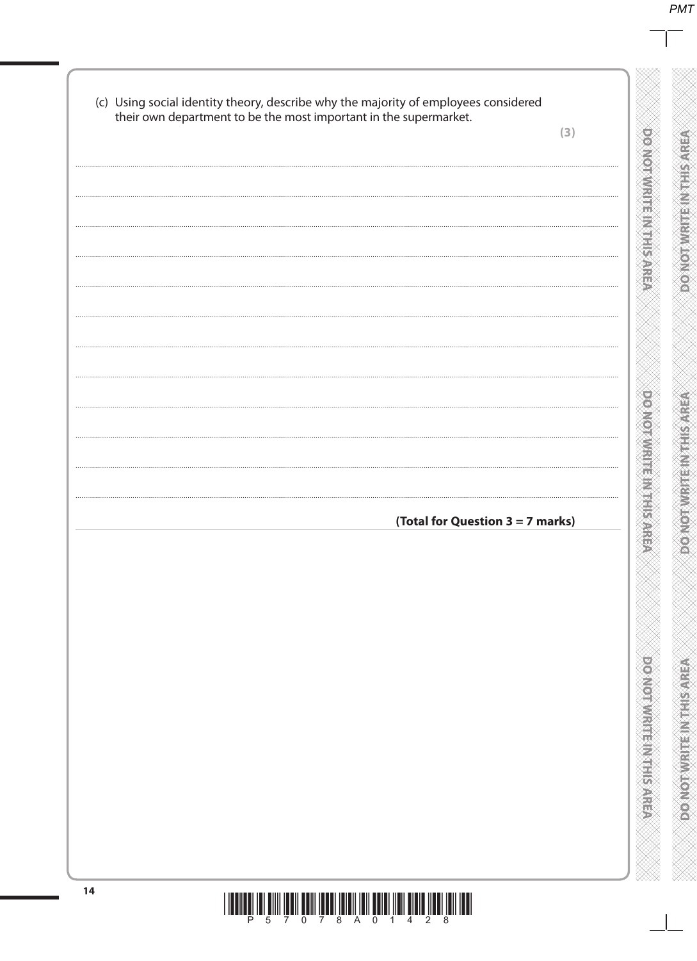| their own department to be the most important in the supermarket. | (3) | $\bar{\otimes}$             |
|-------------------------------------------------------------------|-----|-----------------------------|
|                                                                   |     |                             |
|                                                                   |     | <b>Norwhale</b>             |
|                                                                   |     |                             |
|                                                                   |     |                             |
|                                                                   |     |                             |
|                                                                   |     |                             |
|                                                                   |     |                             |
|                                                                   |     |                             |
|                                                                   |     |                             |
|                                                                   |     |                             |
|                                                                   |     |                             |
|                                                                   |     | 态度<br>Ż                     |
| (Total for Question 3 = 7 marks)                                  |     | E.                          |
|                                                                   |     |                             |
|                                                                   |     |                             |
|                                                                   |     |                             |
|                                                                   |     |                             |
|                                                                   |     |                             |
|                                                                   |     |                             |
|                                                                   |     |                             |
|                                                                   |     |                             |
|                                                                   |     | providentification is a set |
|                                                                   |     |                             |
|                                                                   |     |                             |
|                                                                   |     |                             |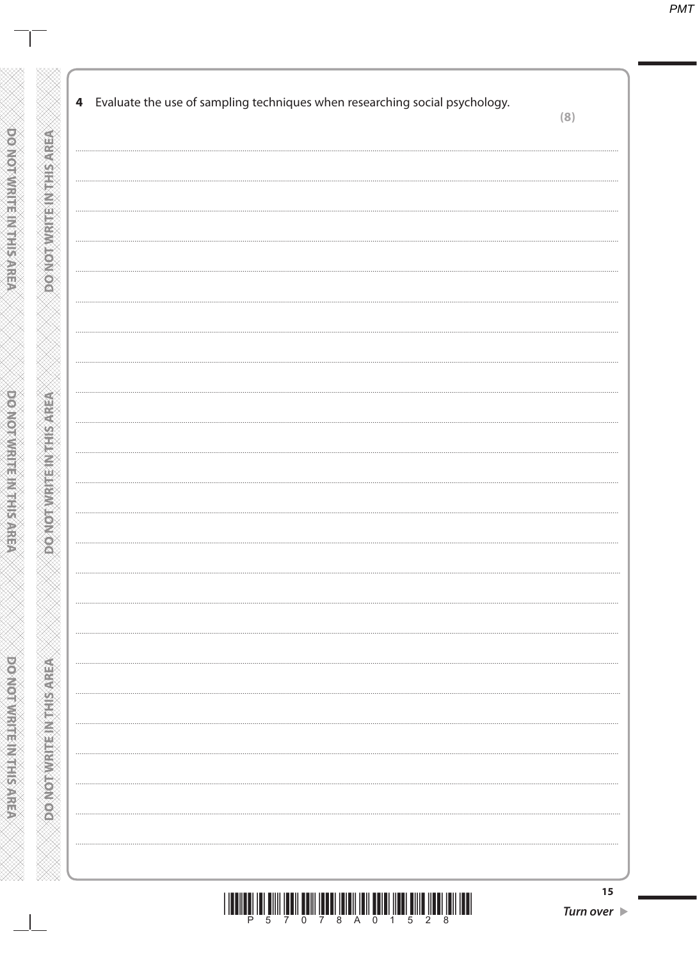|          | 4 Evaluate the use of sampling techniques when researching social psychology. | (8) |
|----------|-------------------------------------------------------------------------------|-----|
|          |                                                                               |     |
|          |                                                                               |     |
|          |                                                                               |     |
|          |                                                                               |     |
|          |                                                                               |     |
|          |                                                                               |     |
|          |                                                                               |     |
|          |                                                                               |     |
|          |                                                                               |     |
|          |                                                                               |     |
|          |                                                                               |     |
|          |                                                                               |     |
|          |                                                                               |     |
|          |                                                                               |     |
|          |                                                                               |     |
|          |                                                                               |     |
| $\cdots$ |                                                                               |     |
|          |                                                                               |     |
|          |                                                                               |     |
|          |                                                                               |     |
|          |                                                                               |     |
|          |                                                                               |     |
|          |                                                                               |     |
|          |                                                                               |     |
|          |                                                                               |     |
|          |                                                                               |     |
|          |                                                                               |     |
|          |                                                                               |     |
|          |                                                                               |     |
|          |                                                                               |     |
|          |                                                                               |     |
|          |                                                                               |     |
|          |                                                                               |     |
|          |                                                                               |     |
|          |                                                                               | 15  |

DO NOTWRITE IN THIS AREA

**DOWNWRITEINIANS** 

DO NOT WRITEIN IN INSAREA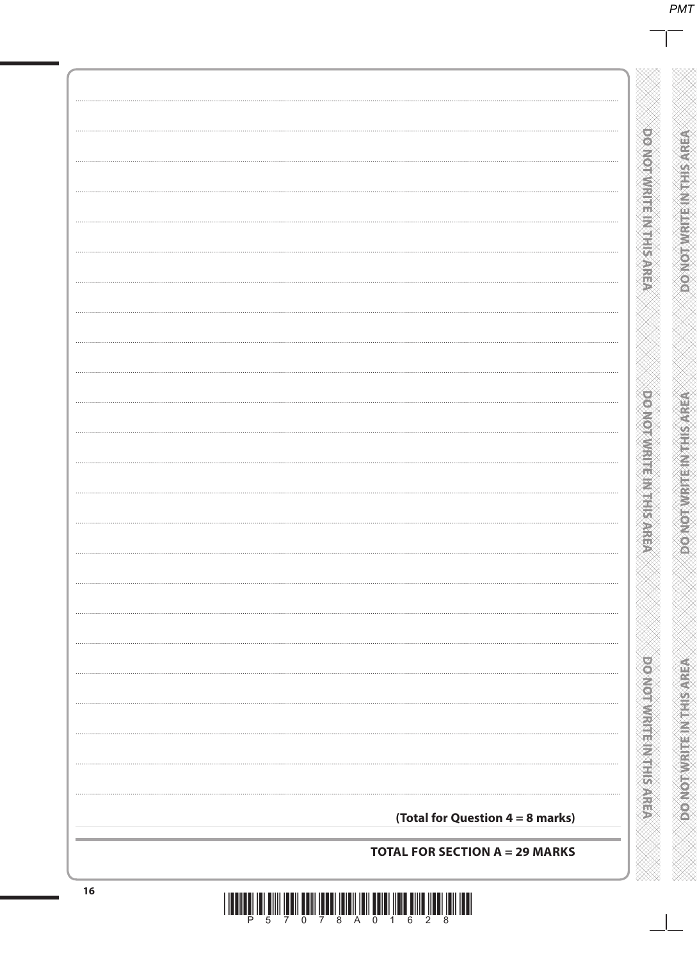|                                       | S                              |                                |
|---------------------------------------|--------------------------------|--------------------------------|
|                                       |                                |                                |
|                                       | <b>STEPHENES AND LONG</b>      | <b>RESINGER IN ENGINEERING</b> |
|                                       |                                |                                |
|                                       |                                |                                |
|                                       |                                |                                |
|                                       |                                |                                |
|                                       |                                |                                |
|                                       | g<br>S                         | <b>CALCAMERINARY</b>           |
|                                       |                                |                                |
|                                       |                                |                                |
|                                       | 鹬                              |                                |
|                                       |                                |                                |
|                                       |                                |                                |
|                                       |                                |                                |
|                                       | 8                              | <b>THIS AREA</b>               |
|                                       |                                |                                |
|                                       | <b>THE REPORT OF STRAIGHTS</b> | <b>DOMORATION</b>              |
|                                       |                                |                                |
| (Total for Question 4 = 8 marks)      |                                |                                |
| <b>TOTAL FOR SECTION A = 29 MARKS</b> |                                |                                |

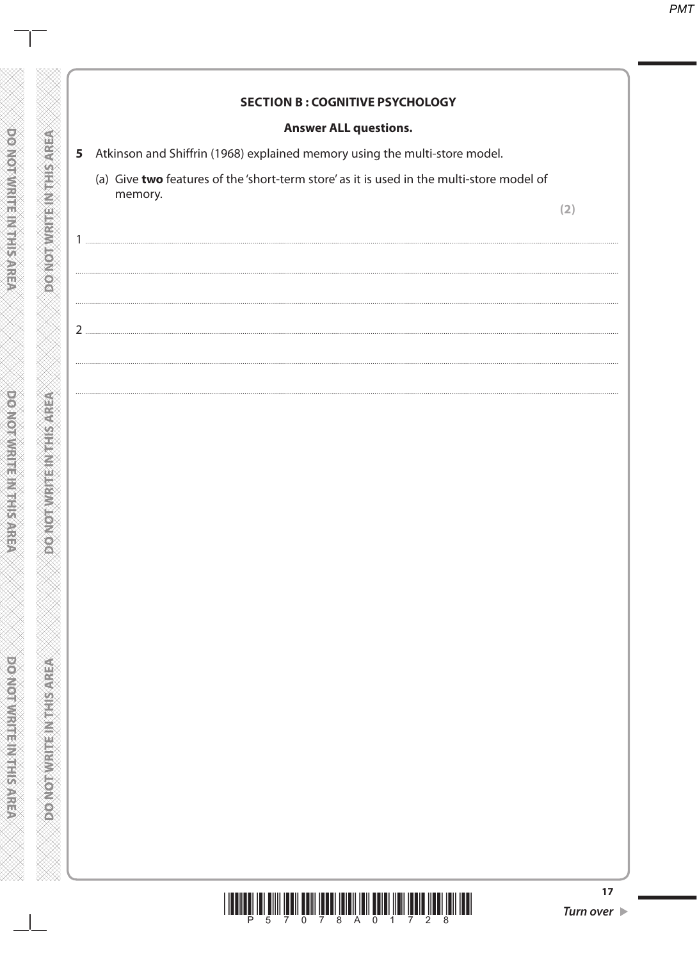|                | <b>SECTION B: COGNITIVE PSYCHOLOGY</b>                                                               |     |
|----------------|------------------------------------------------------------------------------------------------------|-----|
|                | <b>Answer ALL questions.</b>                                                                         |     |
| 5              | Atkinson and Shiffrin (1968) explained memory using the multi-store model.                           |     |
|                | (a) Give two features of the 'short-term store' as it is used in the multi-store model of<br>memory. |     |
|                |                                                                                                      | (2) |
| 1              |                                                                                                      |     |
|                |                                                                                                      |     |
|                |                                                                                                      |     |
| $\overline{2}$ |                                                                                                      |     |
|                |                                                                                                      |     |
|                |                                                                                                      |     |
|                |                                                                                                      |     |
|                |                                                                                                      |     |
|                |                                                                                                      |     |
|                |                                                                                                      |     |
|                |                                                                                                      |     |
|                |                                                                                                      |     |
|                |                                                                                                      |     |
|                |                                                                                                      |     |
|                |                                                                                                      |     |
|                |                                                                                                      |     |
|                |                                                                                                      |     |
|                |                                                                                                      |     |
|                |                                                                                                      |     |
|                |                                                                                                      |     |
|                |                                                                                                      |     |
|                |                                                                                                      |     |
|                |                                                                                                      |     |
|                |                                                                                                      |     |
|                |                                                                                                      |     |
|                |                                                                                                      |     |

 $\Box$ 

OOMOTMRITEINTHISAREA

**DO NOT WRITE IN THIS AREA** 

DOMOTWRITEMY NEWSFER

en de la famílie de la famílie de la famílie de la famílie de la famílie de la famílie de la famílie de la famí<br>Taxonomía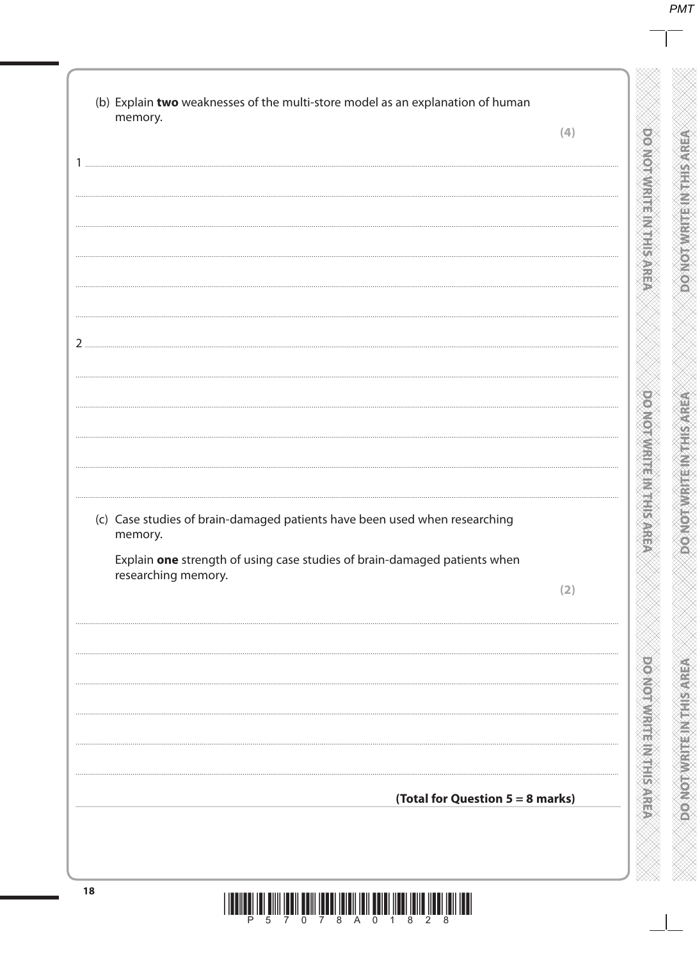| memory.<br>(4)                                                                                   |                                  |
|--------------------------------------------------------------------------------------------------|----------------------------------|
|                                                                                                  | $\frac{1}{2}$                    |
|                                                                                                  | WRITER NO.                       |
|                                                                                                  |                                  |
|                                                                                                  | e de la                          |
|                                                                                                  |                                  |
|                                                                                                  |                                  |
|                                                                                                  |                                  |
|                                                                                                  |                                  |
|                                                                                                  |                                  |
|                                                                                                  | <b>DOSTAGEMENTS</b>              |
| (c) Case studies of brain-damaged patients have been used when researching<br>memory.            | $\frac{80}{15}$                  |
| Explain one strength of using case studies of brain-damaged patients when<br>researching memory. |                                  |
| (2)                                                                                              |                                  |
|                                                                                                  |                                  |
|                                                                                                  |                                  |
|                                                                                                  |                                  |
|                                                                                                  |                                  |
|                                                                                                  | <b>POINT REPORT OF A PARTIES</b> |
| (Total for Question 5 = 8 marks)                                                                 |                                  |
|                                                                                                  |                                  |

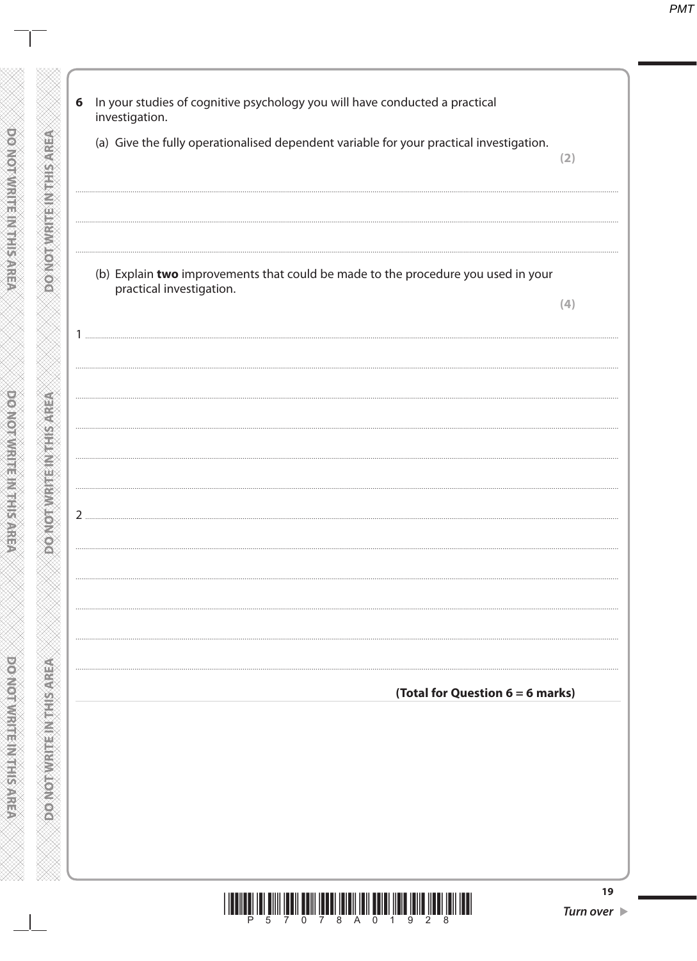|       | investigation.<br>(a) Give the fully operationalised dependent variable for your practical investigation. |     |
|-------|-----------------------------------------------------------------------------------------------------------|-----|
|       |                                                                                                           | (2) |
|       | (b) Explain two improvements that could be made to the procedure you used in your                         |     |
| 1     | practical investigation.                                                                                  | (4) |
|       |                                                                                                           |     |
|       |                                                                                                           |     |
| $2$ . |                                                                                                           |     |
|       |                                                                                                           |     |
|       |                                                                                                           |     |
|       | (Total for Question 6 = 6 marks)                                                                          |     |
|       |                                                                                                           |     |
|       |                                                                                                           |     |
|       |                                                                                                           |     |

- 12

**DOOMOT WRITE IN THIS AREA** 

**DOOKOVMRITEIMTHIS/AREA** 

**DO NOT WRITE IN THIS AREA**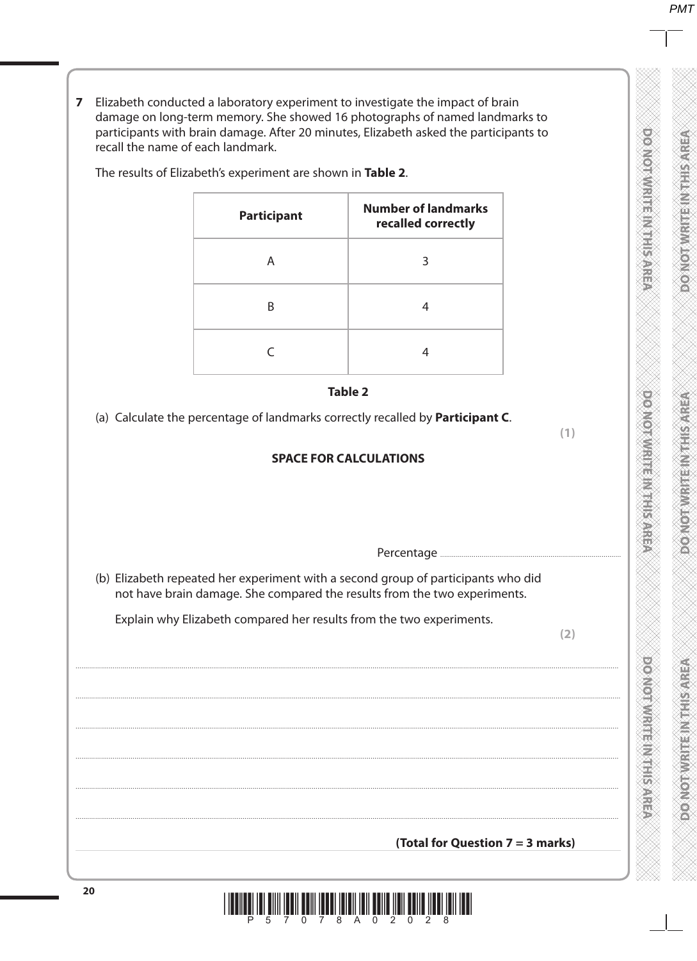7 Elizabeth conducted a laboratory experiment to investigate the impact of brain damage on long-term memory. She showed 16 photographs of named landmarks to participants with brain damage. After 20 minutes, Elizabeth asked the participants to recall the name of each landmark.

| <b>Participant</b> | <b>Number of landmarks</b><br>recalled correctly |
|--------------------|--------------------------------------------------|
| A                  | 3                                                |
| B                  | 4                                                |
|                    |                                                  |

The results of Elizabeth's experiment are shown in Table 2.

## Table 2

(a) Calculate the percentage of landmarks correctly recalled by Participant C.

 $(1)$ 

# **SPACE FOR CALCULATIONS**

(b) Elizabeth repeated her experiment with a second group of participants who did not have brain damage. She compared the results from the two experiments.

Explain why Elizabeth compared her results from the two experiments.

 $(2)$ 

(Total for Question  $7 = 3$  marks)



**FERMINE METAL STRONG** 

**PORTORY REPORTS OF SOLUTION** 

**DOXIGION CONTRACTOR** 

**PONOTHUR TENNISONER**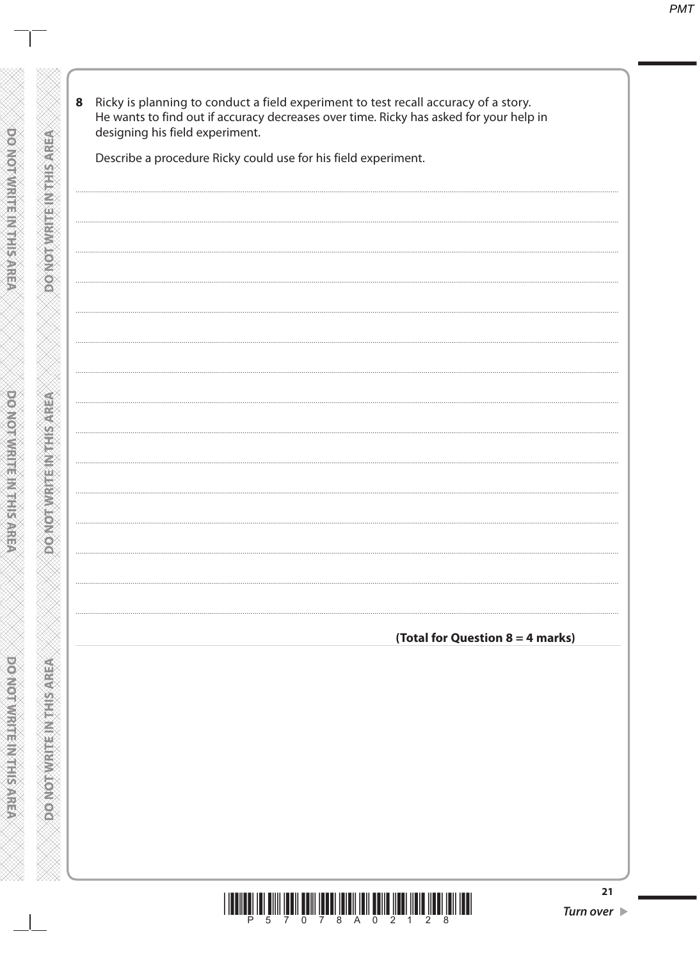| Describe a procedure Ricky could use for his field experiment. |                                  |
|----------------------------------------------------------------|----------------------------------|
|                                                                |                                  |
|                                                                |                                  |
|                                                                |                                  |
|                                                                |                                  |
|                                                                |                                  |
|                                                                |                                  |
|                                                                |                                  |
|                                                                |                                  |
|                                                                |                                  |
|                                                                |                                  |
|                                                                |                                  |
|                                                                |                                  |
|                                                                |                                  |
|                                                                |                                  |
|                                                                |                                  |
|                                                                |                                  |
|                                                                |                                  |
|                                                                |                                  |
|                                                                |                                  |
|                                                                |                                  |
|                                                                | (Total for Question 8 = 4 marks) |
|                                                                |                                  |
|                                                                |                                  |
|                                                                |                                  |
|                                                                |                                  |
|                                                                |                                  |
|                                                                |                                  |
|                                                                |                                  |

DO NOT WRITE IN THIS AREA

**DOOKOXWRITEINTRIKXHSKRR** 

**DOMOTWRITEIN THEIR AREA** 

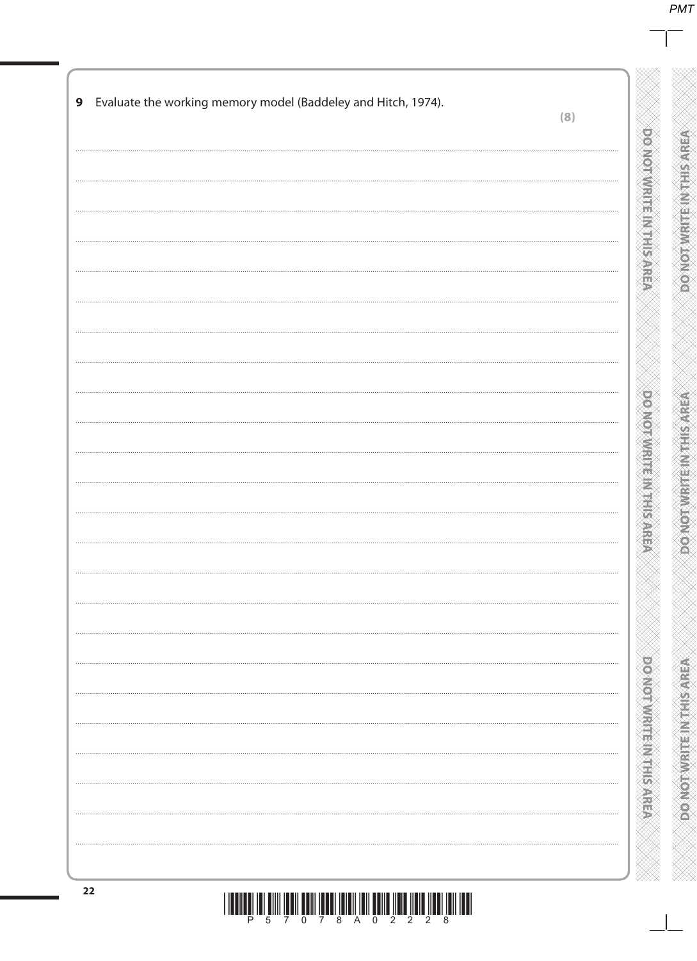| 22           | <u>HENER HERMILIAN IN HERMILIAN IN KANA MENERIK DI MEN</u>    |                                    |  |
|--------------|---------------------------------------------------------------|------------------------------------|--|
|              |                                                               | <b>POSTER AND REAL PROPERTY OF</b> |  |
|              |                                                               |                                    |  |
|              |                                                               | <b>DONOMENT</b>                    |  |
|              |                                                               | <b>DOMORATION SERVICES</b>         |  |
| $\mathbf{9}$ | Evaluate the working memory model (Baddeley and Hitch, 1974). | (8)                                |  |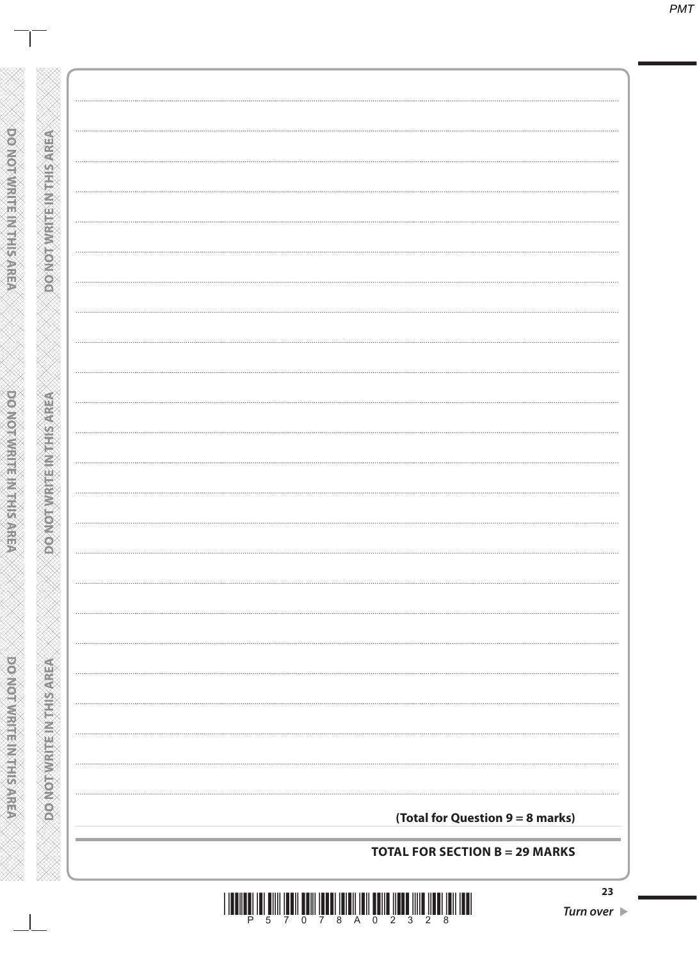

 $\perp$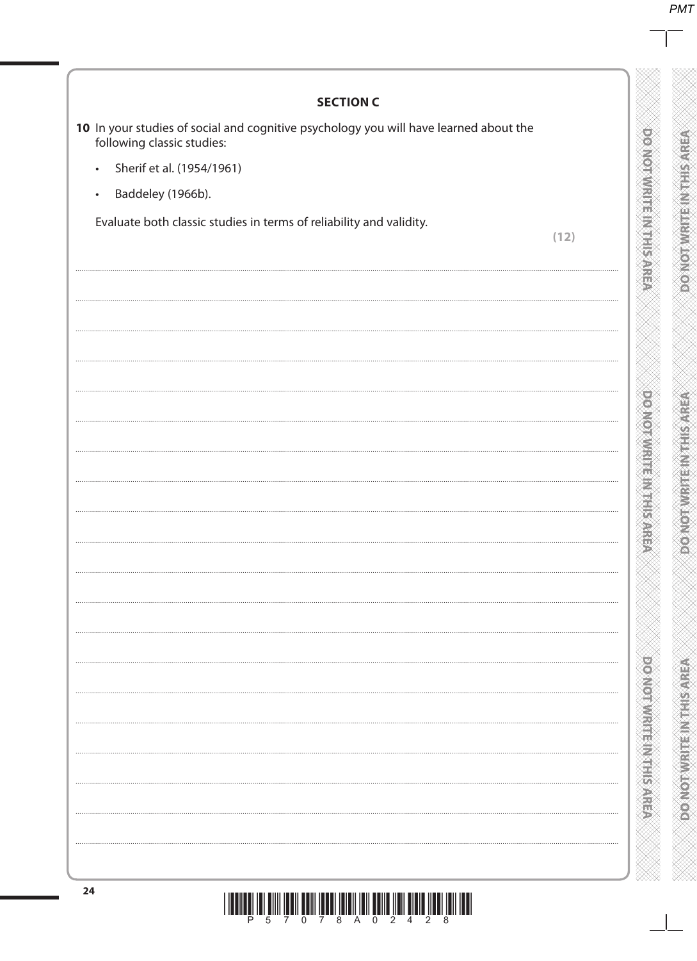| 10 In your studies of social and cognitive psychology you will have learned about the<br>following classic studies: |      |                                        | er<br>Ca                  |
|---------------------------------------------------------------------------------------------------------------------|------|----------------------------------------|---------------------------|
| Sherif et al. (1954/1961)<br>$\bullet$                                                                              |      |                                        |                           |
| Baddeley (1966b).<br>$\bullet$<br>Evaluate both classic studies in terms of reliability and validity.               | (12) |                                        | C)                        |
|                                                                                                                     |      |                                        |                           |
|                                                                                                                     |      | <b>VOIAU: NESSE</b>                    |                           |
|                                                                                                                     |      | <b>Do Non Wishington Street Search</b> | <b>NOTAVARE TRANSPORT</b> |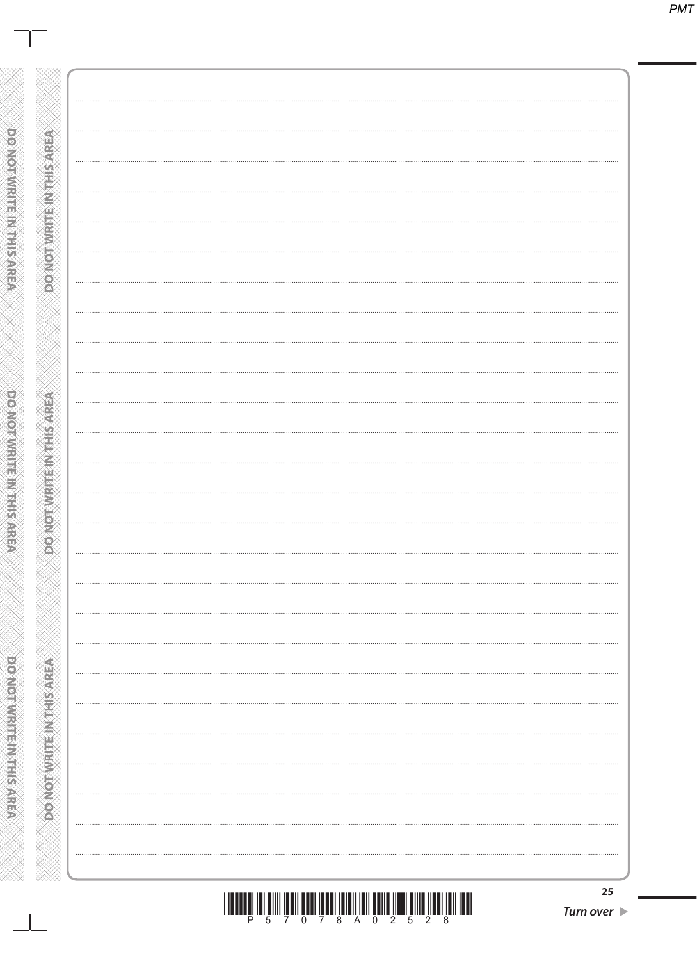| <br>m<br><br><br><br>Ų,<br>KМ<br><br> | <b>PONOTWIRTH MILLIONE</b> | ි<br><b>NORMAN HEIMAN SARE</b> |
|---------------------------------------|----------------------------|--------------------------------|
|                                       |                            |                                |
|                                       |                            |                                |
|                                       |                            |                                |
|                                       |                            |                                |
|                                       |                            |                                |
|                                       |                            |                                |
|                                       |                            |                                |

 $\sim 1$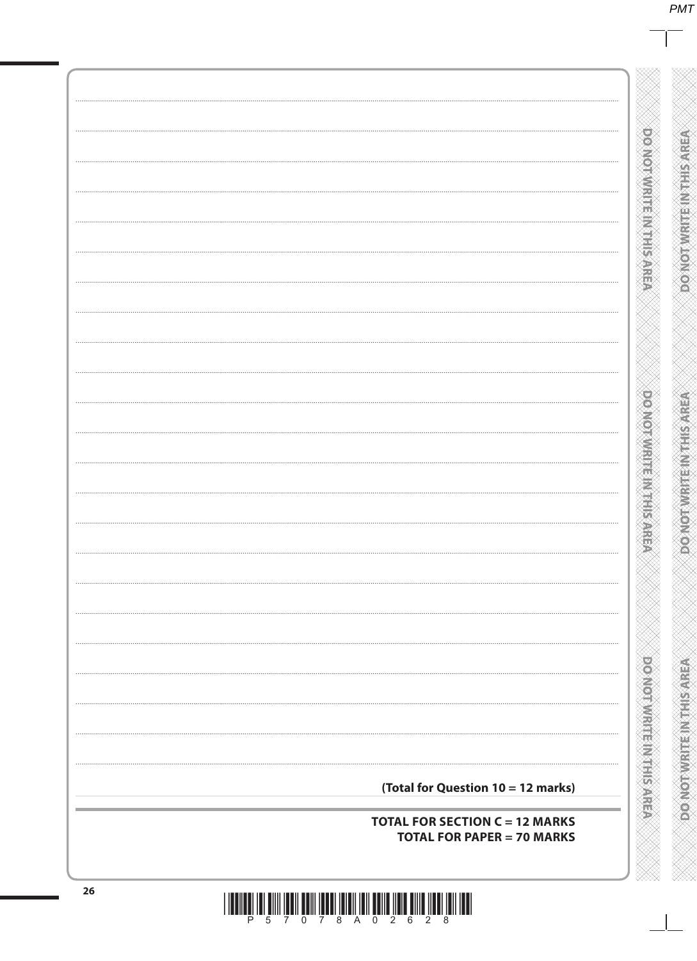| .                                                                          |                            |
|----------------------------------------------------------------------------|----------------------------|
|                                                                            | <b>Nonwriting Markets</b>  |
|                                                                            |                            |
|                                                                            |                            |
| .                                                                          |                            |
|                                                                            |                            |
|                                                                            |                            |
|                                                                            |                            |
| .                                                                          |                            |
|                                                                            | <b>MONON</b>               |
|                                                                            |                            |
| .                                                                          |                            |
|                                                                            | nn.                        |
|                                                                            |                            |
|                                                                            |                            |
|                                                                            |                            |
|                                                                            |                            |
|                                                                            |                            |
|                                                                            |                            |
|                                                                            | <b>PONOTAWATEMY HERVET</b> |
| (Total for Question 10 = 12 marks)                                         |                            |
| <b>TOTAL FOR SECTION C = 12 MARKS</b><br><b>TOTAL FOR PAPER = 70 MARKS</b> |                            |
|                                                                            |                            |

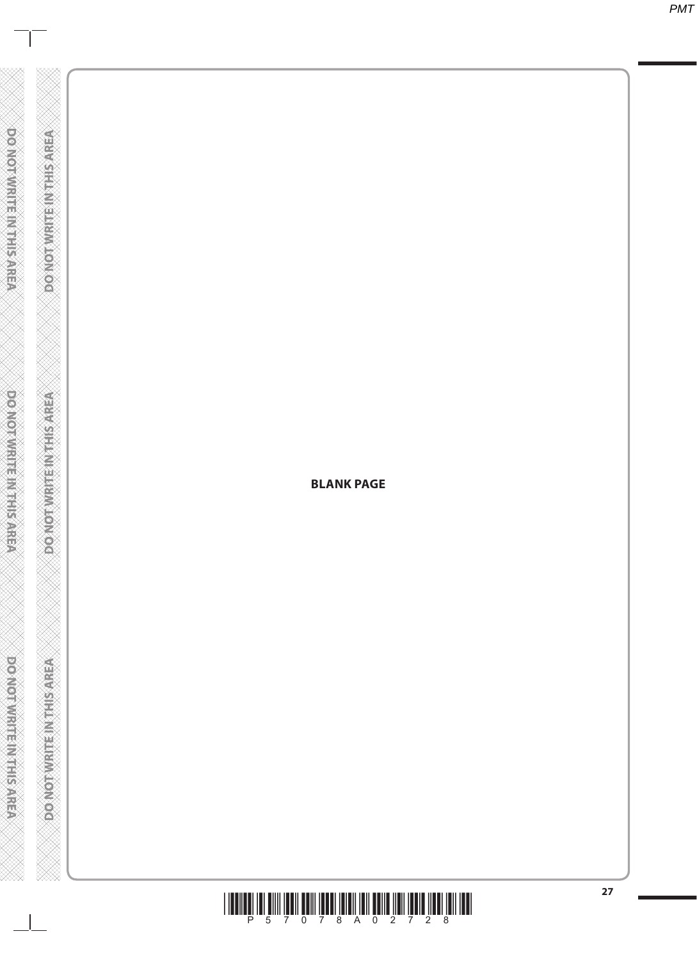

**DO NOT WRITE IN THIS AREA** 

**PONOTWRITEINTHIS AREA** 

 $\mathbf{I}$ 

**DO NOT WRITE IN THIS AREA** 

## **BLANK PAGE**